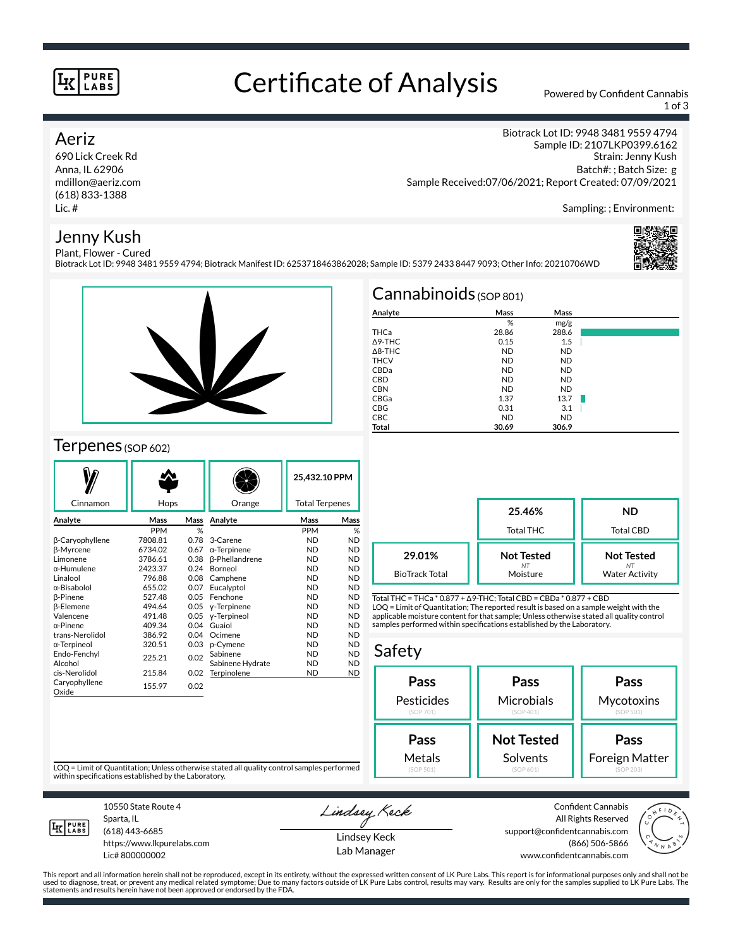### **PURE** LABS

## Certificate of Analysis Powered by Confident Cannabis

1 of 3

Biotrack Lot ID: 9948 3481 9559 4794 Sample ID: 2107LKP0399.6162

### Aeriz

690 Lick Creek Rd Anna, IL 62906 mdillon@aeriz.com (618) 833-1388 Lic. #

## Jenny Kush

Strain: Jenny Kush Batch#: ; Batch Size: g Sample Received:07/06/2021; Report Created: 07/09/2021

Sampling: ; Environment:

#### Plant, Flower - Cured Biotrack Lot ID: 9948 3481 9559 4794; Biotrack Manifest ID: 6253718463862028; Sample ID: 5379 2433 8447 9093; Other Info: 20210706WD





## Terpenes (SOP 602)

| Cinnamon               | Hops       |      | Orange                |            | 25,432.10 PPM<br><b>Total Terpenes</b> |  |
|------------------------|------------|------|-----------------------|------------|----------------------------------------|--|
| Analyte                | Mass       | Mass | Analyte               | Mass       | Mass                                   |  |
|                        | <b>PPM</b> | %    |                       | <b>PPM</b> | %                                      |  |
| β-Caryophyllene        | 7808.81    | 0.78 | 3-Carene              | <b>ND</b>  | <b>ND</b>                              |  |
| <b>B-Myrcene</b>       | 6734.02    | 0.67 | $\alpha$ -Terpinene   | <b>ND</b>  | <b>ND</b>                              |  |
| Limonene               | 3786.61    | 0.38 | <b>B-Phellandrene</b> | <b>ND</b>  | <b>ND</b>                              |  |
| α-Humulene             | 2423.37    | 0.24 | Borneol               | <b>ND</b>  | <b>ND</b>                              |  |
| Linalool               | 796.88     | 0.08 | Camphene              | <b>ND</b>  | <b>ND</b>                              |  |
| α-Bisabolol            | 655.02     | 0.07 | Eucalyptol            | <b>ND</b>  | <b>ND</b>                              |  |
| <b>B-Pinene</b>        | 527.48     | 0.05 | Fenchone              | <b>ND</b>  | <b>ND</b>                              |  |
| <b>ß-Elemene</b>       | 494.64     | 0.05 | y-Terpinene           | <b>ND</b>  | <b>ND</b>                              |  |
| Valencene              | 491.48     | 0.05 | y-Terpineol           | <b>ND</b>  | <b>ND</b>                              |  |
| $\alpha$ -Pinene       | 409.34     | 0.04 | Guaiol                | <b>ND</b>  | <b>ND</b>                              |  |
| trans-Nerolidol        | 386.92     | 0.04 | Ocimene               | <b>ND</b>  | <b>ND</b>                              |  |
| α-Terpineol            | 320.51     | 0.03 | p-Cymene              | <b>ND</b>  | <b>ND</b>                              |  |
| Endo-Fenchyl           | 225.21     | 0.02 | Sabinene              | <b>ND</b>  | <b>ND</b>                              |  |
| Alcohol                |            |      | Sabinene Hydrate      | <b>ND</b>  | <b>ND</b>                              |  |
| cis-Nerolidol          | 215.84     | 0.02 | Terpinolene           | <b>ND</b>  | <b>ND</b>                              |  |
| Caryophyllene<br>Oxide | 155.97     | 0.02 |                       |            |                                        |  |

| $Cannabinoids$ (SOP 801) |           |           |  |  |  |  |  |
|--------------------------|-----------|-----------|--|--|--|--|--|
| Analyte                  | Mass      | Mass      |  |  |  |  |  |
|                          | %         | mg/g      |  |  |  |  |  |
| THCa                     | 28.86     | 288.6     |  |  |  |  |  |
| $\triangle$ 9-THC        | 0.15      | 1.5       |  |  |  |  |  |
| $\triangle$ 8-THC        | <b>ND</b> | <b>ND</b> |  |  |  |  |  |
| <b>THCV</b>              | <b>ND</b> | <b>ND</b> |  |  |  |  |  |
| CBDa                     | <b>ND</b> | <b>ND</b> |  |  |  |  |  |
| <b>CBD</b>               | <b>ND</b> | <b>ND</b> |  |  |  |  |  |
| <b>CBN</b>               | <b>ND</b> | <b>ND</b> |  |  |  |  |  |
| CBGa                     | 1.37      | 13.7      |  |  |  |  |  |
| <b>CBG</b>               | 0.31      | 3.1       |  |  |  |  |  |
| <b>CBC</b>               | <b>ND</b> | <b>ND</b> |  |  |  |  |  |
| Total                    | 30.69     | 306.9     |  |  |  |  |  |

|                                 | 25.46%<br>Total THC                 | <b>ND</b><br>Total CBD                     |  |  |
|---------------------------------|-------------------------------------|--------------------------------------------|--|--|
| 29.01%<br><b>BioTrack Total</b> | <b>Not Tested</b><br>NT<br>Moisture | <b>Not Tested</b><br><b>Water Activity</b> |  |  |

Total THC = THCa \* 0.877 + ∆9-THC; Total CBD = CBDa \* 0.877 + CBD LOQ = Limit of Quantitation; The reported result is based on a sample weight with the applicable moisture content for that sample; Unless otherwise stated all quality control samples performed within specifications established by the Laboratory.

#### Safety **Pass** Pesticides (SOP 701) **Pass Microbials** (SOP 401) **Pass Mycotoxins** (SOP 501) **Not Tested Solvents Pass** Foreign Matter **Pass** Metals

LOQ = Limit of Quantitation; Unless otherwise stated all quality control samples performed within specifications established by the Laboratory.



Sparta, IL (618) 443-6685 https://www.lkpurelabs.com

Lic# 800000002

10550 State Route 4

Lindsey Keck

support@confidentcannabis.com



This report and all information herein shall not be reproduced, except in its entirety, without the expressed written consent of LK Pure Labs. This report is for informational purposes only and shall not be<br>used to diagnos

Lindsey Keck Lab Manager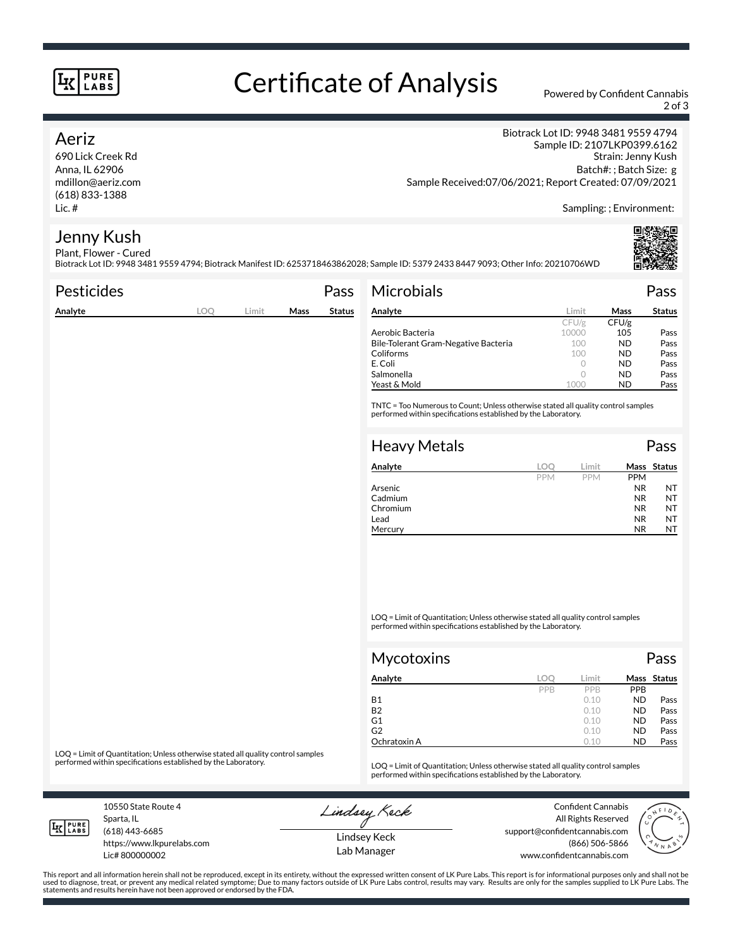### **PURE** LABS

# Certificate of Analysis Powered by Confident Cannabis

2 of 3

### Aeriz

690 Lick Creek Rd Anna, IL 62906 mdillon@aeriz.com (618) 833-1388 Lic. #

Biotrack Lot ID: 9948 3481 9559 4794 Sample ID: 2107LKP0399.6162 Strain: Jenny Kush Batch#: ; Batch Size: g Sample Received:07/06/2021; Report Created: 07/09/2021

Sampling: ; Environment:

#### Jenny Kush Plant, Flower - Cured

Biotrack Lot ID: 9948 3481 9559 4794; Biotrack Manifest ID: 6253718463862028; Sample ID: 5379 2433 8447 9093; Other Info: 20210706WD

| <b>Pesticides</b> |     |       |             | Pass          | <b>Microbials</b>                                                                                                                                   |            |            |             | Pass          |
|-------------------|-----|-------|-------------|---------------|-----------------------------------------------------------------------------------------------------------------------------------------------------|------------|------------|-------------|---------------|
| Analyte           | LOQ | Limit | <b>Mass</b> | <b>Status</b> | Analyte                                                                                                                                             |            | Limit      | <b>Mass</b> | <b>Status</b> |
|                   |     |       |             |               |                                                                                                                                                     |            | CFU/g      | CFU/g       |               |
|                   |     |       |             |               | Aerobic Bacteria                                                                                                                                    |            | 10000      | 105         | Pass          |
|                   |     |       |             |               | Bile-Tolerant Gram-Negative Bacteria                                                                                                                |            | 100        | <b>ND</b>   | Pass          |
|                   |     |       |             |               | Coliforms                                                                                                                                           |            | 100        | <b>ND</b>   | Pass          |
|                   |     |       |             |               | E. Coli                                                                                                                                             |            | $\circ$    | <b>ND</b>   | Pass          |
|                   |     |       |             |               | Salmonella                                                                                                                                          |            | $\circ$    | <b>ND</b>   | Pass          |
|                   |     |       |             |               | Yeast & Mold                                                                                                                                        |            | 1000       | <b>ND</b>   | Pass          |
|                   |     |       |             |               | TNTC = Too Numerous to Count; Unless otherwise stated all quality control samples<br>performed within specifications established by the Laboratory. |            |            |             |               |
|                   |     |       |             |               | <b>Heavy Metals</b>                                                                                                                                 |            |            |             | Pass          |
|                   |     |       |             |               | Analyte                                                                                                                                             | LOO        | Limit      |             | Mass Status   |
|                   |     |       |             |               |                                                                                                                                                     | <b>PPM</b> | <b>PPM</b> | <b>PPM</b>  |               |
|                   |     |       |             |               | Arsenic                                                                                                                                             |            |            | <b>NR</b>   | NT            |
|                   |     |       |             |               | Cadmium                                                                                                                                             |            |            | <b>NR</b>   | <b>NT</b>     |

LOQ = Limit of Quantitation; Unless otherwise stated all quality control samples performed within specifications established by the Laboratory.

Chromium NR NT Lead **NR** NT Mercury NR NT

| Mycotoxins   |     |       |            | Pass        |
|--------------|-----|-------|------------|-------------|
| Analyte      | LOC | Limit |            | Mass Status |
|              | PPB | PPB   | <b>PPB</b> |             |
| <b>B1</b>    |     | 0.10  | <b>ND</b>  | Pass        |
| <b>B2</b>    |     | 0.10  | <b>ND</b>  | Pass        |
| G1           |     | 0.10  | <b>ND</b>  | Pass        |
| G2           |     | 0.10  | <b>ND</b>  | Pass        |
| Ochratoxin A |     | 0.10  | <b>ND</b>  | Pass        |

LOQ = Limit of Quantitation; Unless otherwise stated all quality control samples<br>performed within specifications established by the Laboratory.

LOQ = Limit of Quantitation; Unless otherwise stated all quality control samples performed within specifications established by the Laboratory.

Sparta, IL

Lindsey Keck

Confident Cannabis All Rights Reserved support@confidentcannabis.com (866) 506-5866 www.confidentcannabis.com



This report and all information herein shall not be reproduced, except in its entirety, without the expressed written consent of LK Pure Labs. This report is for informational purposes only and shall not be<br>used to diagnos statements and results herein have not been approved or endorsed by the FDA.

Lindsey Keck Lab Manager

10550 State Route 4

**LK** LABS

(618) 443-6685